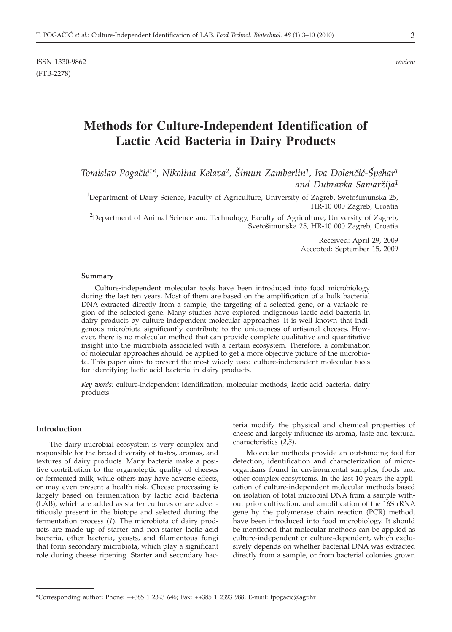# **Methods for Culture-Independent Identification of Lactic Acid Bacteria in Dairy Products**

Tomislav Pogačić<sup>1\*</sup>, Nikolina Kelava<sup>2</sup>, Šimun Zamberlin<sup>1</sup>, Iva Dolenčić-Špehar<sup>1</sup> *and Dubravka Samar`ija1*

<sup>1</sup>Department of Dairy Science, Faculty of Agriculture, University of Zagreb, Svetošimunska 25, HR-10 000 Zagreb, Croatia

 $^{2}$ Department of Animal Science and Technology, Faculty of Agriculture, University of Zagreb, Svetošimunska 25, HR-10 000 Zagreb, Croatia

> Received: April 29, 2009 Accepted: September 15, 2009

#### **Summary**

Culture-independent molecular tools have been introduced into food microbiology during the last ten years. Most of them are based on the amplification of a bulk bacterial DNA extracted directly from a sample, the targeting of a selected gene, or a variable region of the selected gene. Many studies have explored indigenous lactic acid bacteria in dairy products by culture-independent molecular approaches. It is well known that indigenous microbiota significantly contribute to the uniqueness of artisanal cheeses. However, there is no molecular method that can provide complete qualitative and quantitative insight into the microbiota associated with a certain ecosystem. Therefore, a combination of molecular approaches should be applied to get a more objective picture of the microbiota. This paper aims to present the most widely used culture-independent molecular tools for identifying lactic acid bacteria in dairy products.

*Key words:* culture-independent identification, molecular methods, lactic acid bacteria, dairy products

## **Introduction**

The dairy microbial ecosystem is very complex and responsible for the broad diversity of tastes, aromas, and textures of dairy products. Many bacteria make a positive contribution to the organoleptic quality of cheeses or fermented milk, while others may have adverse effects, or may even present a health risk. Cheese processing is largely based on fermentation by lactic acid bacteria (LAB), which are added as starter cultures or are adventitiously present in the biotope and selected during the fermentation process (*1*). The microbiota of dairy products are made up of starter and non-starter lactic acid bacteria, other bacteria, yeasts, and filamentous fungi that form secondary microbiota, which play a significant role during cheese ripening. Starter and secondary bac-

teria modify the physical and chemical properties of cheese and largely influence its aroma, taste and textural characteristics (*2,3*).

Molecular methods provide an outstanding tool for detection, identification and characterization of microorganisms found in environmental samples, foods and other complex ecosystems. In the last 10 years the application of culture-independent molecular methods based on isolation of total microbial DNA from a sample without prior cultivation, and amplification of the 16S rRNA gene by the polymerase chain reaction (PCR) method, have been introduced into food microbiology. It should be mentioned that molecular methods can be applied as culture-independent or culture-dependent, which exclusively depends on whether bacterial DNA was extracted directly from a sample, or from bacterial colonies grown

<sup>\*</sup>Corresponding author; Phone: ++385 1 2393 646; Fax: ++385 1 2393 988; E-mail: tpogacic@agr.hr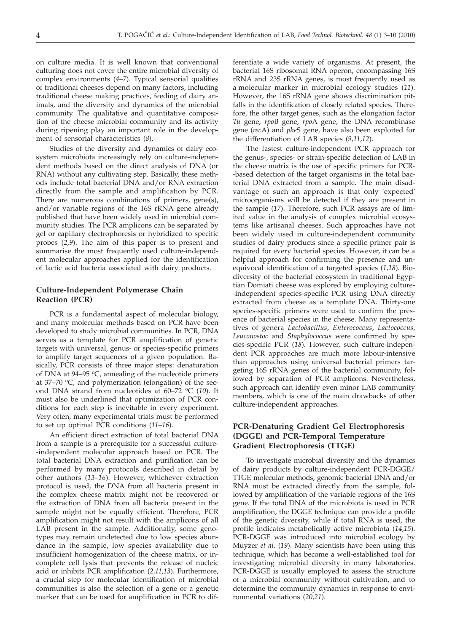on culture media. It is well known that conventional culturing does not cover the entire microbial diversity of complex environments (*4*–*7*). Typical sensorial qualities of traditional cheeses depend on many factors, including traditional cheese making practices, feeding of dairy animals, and the diversity and dynamics of the microbial community. The qualitative and quantitative composition of the cheese microbial community and its activity during ripening play an important role in the development of sensorial characteristics (*8*).

Studies of the diversity and dynamics of dairy ecosystem microbiota increasingly rely on culture-independent methods based on the direct analysis of DNA (or RNA) without any cultivating step. Basically, these methods include total bacterial DNA and/or RNA extraction directly from the sample and amplification by PCR. There are numerous combinations of primers, gene(s), and/or variable regions of the 16S rRNA gene already published that have been widely used in microbial community studies. The PCR amplicons can be separated by gel or capillary electrophoresis or hybridized to specific probes (*2,9*). The aim of this paper is to present and summarise the most frequently used culture-independent molecular approaches applied for the identification of lactic acid bacteria associated with dairy products.

# **Culture-Independent Polymerase Chain Reaction (PCR)**

PCR is a fundamental aspect of molecular biology, and many molecular methods based on PCR have been developed to study microbial communities. In PCR, DNA serves as a template for PCR amplification of genetic targets with universal, genus- or species-specific primers to amplify target sequences of a given population. Basically, PCR consists of three major steps: denaturation of DNA at 94–95 °C, annealing of the nucleotide primers at 37–70  $\rm{^{\circ}C}$ , and polymerization (elongation) of the second DNA strand from nucleotides at 60–72 °C (10). It must also be underlined that optimization of PCR conditions for each step is inevitable in every experiment. Very often, many experimental trials must be performed to set up optimal PCR conditions (*11*–*16*).

An efficient direct extraction of total bacterial DNA from a sample is a prerequisite for a successful culture- -independent molecular approach based on PCR. The total bacterial DNA extraction and purification can be performed by many protocols described in detail by other authors (*13*–*16*). However, whichever extraction protocol is used, the DNA from all bacteria present in the complex cheese matrix might not be recovered or the extraction of DNA from all bacteria present in the sample might not be equally efficient. Therefore, PCR amplification might not result with the amplicons of all LAB present in the sample. Additionally, some genotypes may remain undetected due to low species abundance in the sample, low species availability due to insufficient homogenization of the cheese matrix, or incomplete cell lysis that prevents the release of nucleic acid or inhibits PCR amplification (*2,11,13*). Furthermore, a crucial step for molecular identification of microbial communities is also the selection of a gene or a genetic marker that can be used for amplification in PCR to dif-

ferentiate a wide variety of organisms. At present, the bacterial 16S ribosomal RNA operon, encompassing 16S rRNA and 23S rRNA genes, is most frequently used as a molecular marker in microbial ecology studies (*11*). However, the 16S rRNA gene shows discrimination pitfalls in the identification of closely related species. Therefore, the other target genes, such as the elongation factor *Tu* gene, *rpo*B gene, *rpo*A gene, the DNA recombinase gene (*rec*A) and *phe*S gene, have also been exploited for the differentiation of LAB species (*9,11,12*).

The fastest culture-independent PCR approach for the genus-, species- or strain-specific detection of LAB in the cheese matrix is the use of specific primers for PCR- -based detection of the target organisms in the total bacterial DNA extracted from a sample. The main disadvantage of such an approach is that only 'expected' microorganisms will be detected if they are present in the sample (*17*). Therefore, such PCR assays are of limited value in the analysis of complex microbial ecosystems like artisanal cheeses. Such approaches have not been widely used in culture-independent community studies of dairy products since a specific primer pair is required for every bacterial species. However, it can be a helpful approach for confirming the presence and unequivocal identification of a targeted species (*1,18*). Biodiversity of the bacterial ecosystem in traditional Egyptian Domiati cheese was explored by employing culture- -independent species-specific PCR using DNA directly extracted from cheese as a template DNA. Thirty-one species-specific primers were used to confirm the presence of bacterial species in the cheese. Many representatives of genera *Lactobacillus, Enterococcus, Lactococcus, Leuconostoc* and *Staphylococcus* were confirmed by species-specific PCR (*18*). However, such culture-independent PCR approaches are much more labour-intensive than approaches using universal bacterial primers targeting 16S rRNA genes of the bacterial community, followed by separation of PCR amplicons. Nevertheless, such approach can identify even minor LAB community members, which is one of the main drawbacks of other culture-independent approaches.

# **PCR-Denaturing Gradient Gel Electrophoresis (DGGE) and PCR-Temporal Temperature Gradient Electrophoresis (TTGE)**

To investigate microbial diversity and the dynamics of dairy products by culture-independent PCR-DGGE/ TTGE molecular methods, genomic bacterial DNA and/or RNA must be extracted directly from the sample, followed by amplification of the variable regions of the 16S gene. If the total DNA of the microbiota is used in PCR amplification, the DGGE technique can provide a profile of the genetic diversity, while if total RNA is used, the profile indicates metabolically active microbiota (*14*,*15*). PCR-DGGE was introduced into microbial ecology by Muyzer *et al.* (*19*). Many scientists have been using this technique, which has become a well-established tool for investigating microbial diversity in many laboratories. PCR-DGGE is usually employed to assess the structure of a microbial community without cultivation, and to determine the community dynamics in response to environmental variations (*20,21*).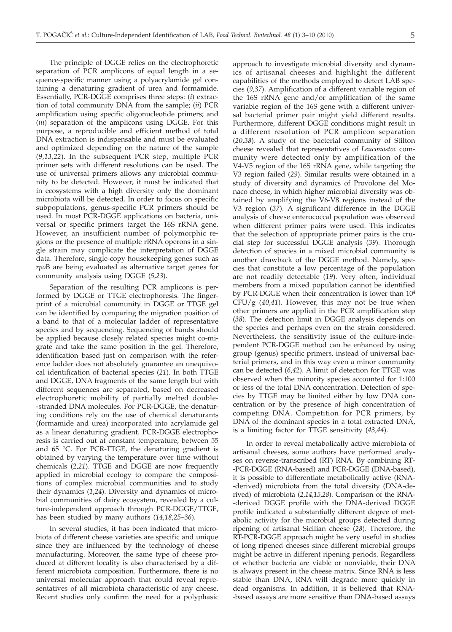The principle of DGGE relies on the electrophoretic separation of PCR amplicons of equal length in a sequence-specific manner using a polyacrylamide gel containing a denaturing gradient of urea and formamide. Essentially, PCR-DGGE comprises three steps: (*i*) extraction of total community DNA from the sample; (*ii*) PCR amplification using specific oligonucleotide primers; and (*iii*) separation of the amplicons using DGGE. For this purpose, a reproducible and efficient method of total DNA extraction is indispensable and must be evaluated and optimized depending on the nature of the sample (*9,13,22*). In the subsequent PCR step, multiple PCR primer sets with different resolutions can be used. The use of universal primers allows any microbial community to be detected. However, it must be indicated that in ecosystems with a high diversity only the dominant microbiota will be detected. In order to focus on specific subpopulations, genus-specific PCR primers should be used. In most PCR-DGGE applications on bacteria, universal or specific primers target the 16S rRNA gene. However, an insufficient number of polymorphic regions or the presence of multiple rRNA operons in a single strain may complicate the interpretation of DGGE data. Therefore, single-copy housekeeping genes such as *rpo*B are being evaluated as alternative target genes for community analysis using DGGE (*5*,*23*).

Separation of the resulting PCR amplicons is performed by DGGE or TTGE electrophoresis. The fingerprint of a microbial community in DGGE or TTGE gel can be identified by comparing the migration position of a band to that of a molecular ladder of representative species and by sequencing. Sequencing of bands should be applied because closely related species might co-migrate and take the same position in the gel. Therefore, identification based just on comparison with the reference ladder does not absolutely guarantee an unequivocal identification of bacterial species (*21*). In both TTGE and DGGE, DNA fragments of the same length but with different sequences are separated, based on decreased electrophoretic mobility of partially melted double- -stranded DNA molecules. For PCR-DGGE, the denaturing conditions rely on the use of chemical denaturants (formamide and urea) incorporated into acrylamide gel as a linear denaturing gradient. PCR-DGGE electrophoresis is carried out at constant temperature, between 55 and 65 °C. For PCR-TTGE, the denaturing gradient is obtained by varying the temperature over time without chemicals (*2*,*21*). TTGE and DGGE are now frequently applied in microbial ecology to compare the compositions of complex microbial communities and to study their dynamics (*1*,*24*). Diversity and dynamics of microbial communities of dairy ecosystem, revealed by a culture-independent approach through PCR-DGGE/TTGE, has been studied by many authors (*14*,*18*,*25*–*36*).

In several studies, it has been indicated that microbiota of different cheese varieties are specific and unique since they are influenced by the technology of cheese manufacturing. Moreover, the same type of cheese produced at different locality is also characterised by a different microbiota composition. Furthermore, there is no universal molecular approach that could reveal representatives of all microbiota characteristic of any cheese. Recent studies only confirm the need for a polyphasic

approach to investigate microbial diversity and dynamics of artisanal cheeses and highlight the different capabilities of the methods employed to detect LAB species (*9*,*37*). Amplification of a different variable region of the 16S rRNA gene and/or amplification of the same variable region of the 16S gene with a different universal bacterial primer pair might yield different results. Furthermore, different DGGE conditions might result in a different resolution of PCR amplicon separation (*20*,*38*). A study of the bacterial community of Stilton cheese revealed that representatives of *Leuconostoc* community were detected only by amplification of the V4-V5 region of the 16S rRNA gene, while targeting the V3 region failed (*29*). Similar results were obtained in a study of diversity and dynamics of Provolone del Monaco cheese, in which higher microbial diversity was obtained by amplifying the V6-V8 regions instead of the V3 region (*37*). A significant difference in the DGGE analysis of cheese enterococcal population was observed when different primer pairs were used. This indicates that the selection of appropriate primer pairs is the crucial step for successful DGGE analysis (*39*). Thorough detection of species in a mixed microbial community is another drawback of the DGGE method. Namely, species that constitute a low percentage of the population are not readily detectable (*19*). Very often, individual members from a mixed population cannot be identified by PCR-DGGE when their concentration is lower than 104 CFU/g (*40*,*41*). However, this may not be true when other primers are applied in the PCR amplification step (*38*). The detection limit in DGGE analysis depends on the species and perhaps even on the strain considered. Nevertheless, the sensitivity issue of the culture-independent PCR-DGGE method can be enhanced by using group (genus) specific primers, instead of universal bacterial primers, and in this way even a minor community can be detected (*6*,*42*). A limit of detection for TTGE was observed when the minority species accounted for 1:100 or less of the total DNA concentration. Detection of species by TTGE may be limited either by low DNA concentration or by the presence of high concentration of competing DNA. Competition for PCR primers, by DNA of the dominant species in a total extracted DNA, is a limiting factor for TTGE sensitivity (*43*,*44*).

In order to reveal metabolically active microbiota of artisanal cheeses, some authors have performed analyses on reverse-transcribed (RT) RNA. By combining RT- -PCR-DGGE (RNA-based) and PCR-DGGE (DNA-based), it is possible to differentiate metabolically active (RNA- -derived) microbiota from the total diversity (DNA-derived) of microbiota (*2*,*14*,*15*,*28*). Comparison of the RNA- -derived DGGE profile with the DNA-derived DGGE profile indicated a substantially different degree of metabolic activity for the microbial groups detected during ripening of artisanal Sicilian cheese (*28*). Therefore, the RT-PCR-DGGE approach might be very useful in studies of long ripened cheeses since different microbial groups might be active in different ripening periods. Regardless of whether bacteria are viable or nonviable, their DNA is always present in the cheese matrix. Since RNA is less stable than DNA, RNA will degrade more quickly in dead organisms. In addition, it is believed that RNA- -based assays are more sensitive than DNA-based assays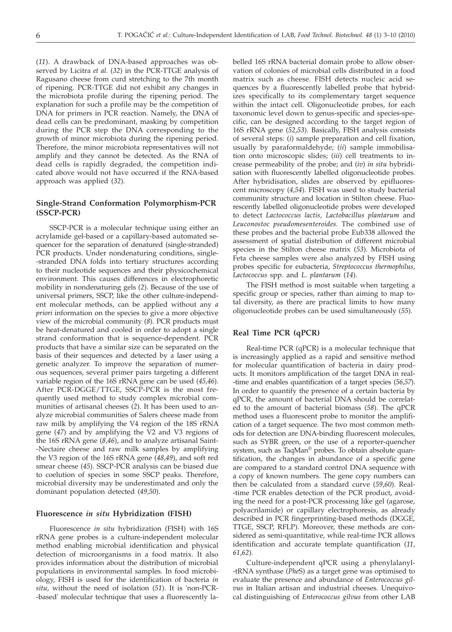(*11*). A drawback of DNA-based approaches was observed by Licitra *et al.* (*32*) in the PCR-TTGE analysis of Ragusano cheese from curd stretching to the 7th month of ripening. PCR-TTGE did not exhibit any changes in the microbiota profile during the ripening period. The explanation for such a profile may be the competition of DNA for primers in PCR reaction. Namely, the DNA of dead cells can be predominant, masking by competition during the PCR step the DNA corresponding to the growth of minor microbiota during the ripening period. Therefore, the minor microbiota representatives will not amplify and they cannot be detected. As the RNA of dead cells is rapidly degraded, the competition indicated above would not have occurred if the RNA-based approach was applied (*32*).

# **Single-Strand Conformation Polymorphism-PCR (SSCP-PCR)**

SSCP-PCR is a molecular technique using either an acrylamide gel-based or a capillary-based automated sequencer for the separation of denatured (single-stranded) PCR products. Under nondenaturing conditions, single--stranded DNA folds into tertiary structures according to their nucleotide sequences and their physicochemical environment. This causes differences in electrophoretic mobility in nondenaturing gels (*2*). Because of the use of universal primers, SSCP, like the other culture-independent molecular methods, can be applied without any *a priori* information on the species to give a more objective view of the microbial community (*8*). PCR products must be heat-denatured and cooled in order to adopt a single strand conformation that is sequence-dependent. PCR products that have a similar size can be separated on the basis of their sequences and detected by a laser using a genetic analyzer. To improve the separation of numerous sequences, several primer pairs targeting a different variable region of the 16S rRNA gene can be used (*45*,*46*). After PCR-DGGE/TTGE, SSCP-PCR is the most frequently used method to study complex microbial communities of artisanal cheeses (*2*). It has been used to analyze microbial communities of Salers cheese made from raw milk by amplifying the V4 region of the 18S rRNA gene (*47*) and by amplifying the V2 and V3 regions of the 16S rRNA gene (*8*,*46*), and to analyze artisanal Saint- -Nectaire cheese and raw milk samples by amplifying the V3 region of the 16S rRNA gene (*48*,*49*), and soft red smear cheese (*45*). SSCP-PCR analysis can be biased due to coelution of species in some SSCP peaks. Therefore, microbial diversity may be underestimated and only the dominant population detected (*49*,*50*).

### **Fluorescence** *in situ* **Hybridization (FISH)**

Fluorescence *in situ* hybridization (FISH) with 16S rRNA gene probes is a culture-independent molecular method enabling microbial identification and physical detection of microorganisms in a food matrix. It also provides information about the distribution of microbial populations in environmental samples. In food microbiology, FISH is used for the identification of bacteria *in situ*, without the need of isolation (*51*). It is 'non-PCR- -based' molecular technique that uses a fluorescently labelled 16S rRNA bacterial domain probe to allow observation of colonies of microbial cells distributed in a food matrix such as cheese. FISH detects nucleic acid sequences by a fluorescently labelled probe that hybridizes specifically to its complementary target sequence within the intact cell. Oligonucleotide probes, for each taxonomic level down to genus-specific and species-specific, can be designed according to the target region of 16S rRNA gene (*52*,*53*). Basically, FISH analysis consists of several steps: (*i*) sample preparation and cell fixation, usually by paraformaldehyde; (*ii*) sample immobilisation onto microscopic slides; (*iii*) cell treatments to increase permeability of the probe; and (*iv*) *in situ* hybridisation with fluorescently labelled oligonucleotide probes. After hybridisation, slides are observed by epifluorescent microscopy (*4*,*54*). FISH was used to study bacterial community structure and location in Stilton cheese. Fluorescently labelled oligonucleotide probes were developed to detect *Lactococcus lactis, Lactobacillus plantarum* and *Leuconostoc pseudomesenteroides.* The combined use of these probes and the bacterial probe Eub338 allowed the assessment of spatial distribution of different microbial species in the Stilton cheese matrix (*53*). Microbiota of Feta cheese samples were also analyzed by FISH using probes specific for eubacteria, *Streptococcus thermophilus, Lactococcus* spp. and *L. plantarum* (*14*).

The FISH method is most suitable when targeting a specific group or species, rather than aiming to map total diversity, as there are practical limits to how many oligonucleotide probes can be used simultaneously (*55*).

# **Real Time PCR (qPCR)**

Real-time PCR (qPCR) is a molecular technique that is increasingly applied as a rapid and sensitive method for molecular quantification of bacteria in dairy products. It monitors amplification of the target DNA in real- -time and enables quantification of a target species (*56*,*57*). In order to quantify the presence of a certain bacteria by qPCR, the amount of bacterial DNA should be correlated to the amount of bacterial biomass (*58*). The qPCR method uses a fluorescent probe to monitor the amplification of a target sequence. The two most common methods for detection are DNA-binding fluorescent molecules, such as SYBR green, or the use of a reporter-quencher system, such as TaqMan® probes. To obtain absolute quantification, the changes in abundance of a specific gene are compared to a standard control DNA sequence with a copy of known numbers. The gene copy numbers can then be calculated from a standard curve (*59*,*60*). Real- -time PCR enables detection of the PCR product, avoiding the need for a post-PCR processing like gel (agarose, polyacrilamide) or capillary electrophoresis, as already described in PCR fingerprinting-based methods (DGGE, TTGE, SSCP, RFLP). Moreover, these methods are considered as semi-quantitative, while real-time PCR allows identification and accurate template quantification (*11*, *61*,*62*).

Culture-independent qPCR using a phenylalanyl- -tRNA synthase (*Phe*S) as a target gene was optimised to evaluate the presence and abundance of *Enterococcus gilvus* in Italian artisan and industrial cheeses. Unequivocal distinguishing of *Enterococcus gilvus* from other LAB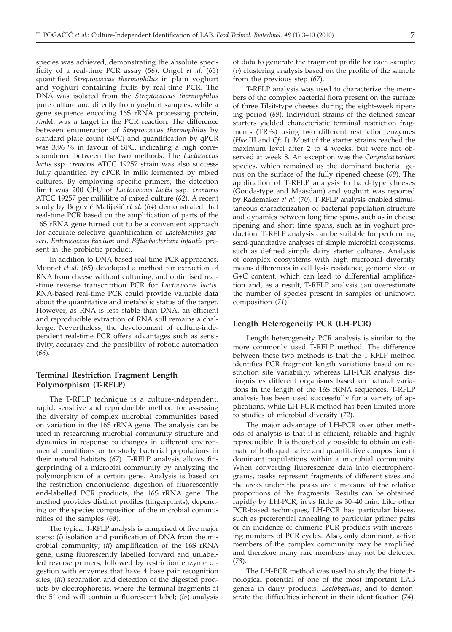species was achieved, demonstrating the absolute specificity of a real-time PCR assay (*56*). Ongol *et al.* (*63*) quantified *Streptococcus thermophilus* in plain yoghurt and yoghurt containing fruits by real-time PCR. The DNA was isolated from the *Streptococcus thermophilus* pure culture and directly from yoghurt samples, while a gene sequence encoding 16S rRNA processing protein, *rim*M, was a target in the PCR reaction. The difference between enumeration of *Streptococcus thermophilus* by standard plate count (SPC) and quantification by qPCR was 3.96 % in favour of SPC, indicating a high correspondence between the two methods. The *Lactococcus lactis* ssp. *cremoris* ATCC 19257 strain was also successfully quantified by qPCR in milk fermented by mixed cultures. By employing specific primers, the detection limit was 200 CFU of *Lactococcus lactis* ssp. *cremoris* ATCC 19257 per millilitre of mixed culture (*62*). A recent study by Bogovič Matijašić et al. (64) demonstrated that real-time PCR based on the amplification of parts of the 16S rRNA gene turned out to be a convenient approach for accurate selective quantification of *Lactobacillus gasseri, Enterococcus faecium* and *Bifidobacterium infantis* present in the probiotic product.

In addition to DNA-based real-time PCR approaches, Monnet *et al.* (*65*) developed a method for extraction of RNA from cheese without culturing, and optimised real- -time reverse transcription PCR for *Lactococcus lactis*. RNA-based real-time PCR could provide valuable data about the quantitative and metabolic status of the target. However, as RNA is less stable than DNA, an efficient and reproducible extraction of RNA still remains a challenge. Nevertheless, the development of culture-independent real-time PCR offers advantages such as sensitivity, accuracy and the possibility of robotic automation (*66*).

# **Terminal Restriction Fragment Length Polymorphism (T-RFLP)**

The T-RFLP technique is a culture-independent, rapid, sensitive and reproducible method for assessing the diversity of complex microbial communities based on variation in the 16S rRNA gene. The analysis can be used in researching microbial community structure and dynamics in response to changes in different environmental conditions or to study bacterial populations in their natural habitats (*67*). T-RFLP analysis allows fingerprinting of a microbial community by analyzing the polymorphism of a certain gene. Analysis is based on the restriction endonuclease digestion of fluorescently end-labelled PCR products, the 16S rRNA gene. The method provides distinct profiles (fingerprints), depending on the species composition of the microbial communities of the samples (*68*).

The typical T-RFLP analysis is comprised of five major steps: (*i*) isolation and purification of DNA from the microbial community; (*ii*) amplification of the 16S rRNA gene, using fluorescently labelled forward and unlabelled reverse primers, followed by restriction enzyme digestion with enzymes that have 4 base pair recognition sites; (*iii*) separation and detection of the digested products by electrophoresis, where the terminal fragments at the 5´ end will contain a fluorescent label; (*iv*) analysis of data to generate the fragment profile for each sample; (*v*) clustering analysis based on the profile of the sample from the previous step (*67*).

T-RFLP analysis was used to characterize the members of the complex bacterial flora present on the surface of three Tilsit-type cheeses during the eight-week ripening period (*69*). Individual strains of the defined smear starters yielded characteristic terminal restriction fragments (TRFs) using two different restriction enzymes (*Hae* III and *Cfo* I). Most of the starter strains reached the maximum level after 2 to 4 weeks, but were not observed at week 8. An exception was the *Corynebacterium* species, which remained as the dominant bacterial genus on the surface of the fully ripened cheese (*69*). The application of T*-*RFLP analysis to hard-type cheeses (Gouda-type and Maasdam) and yoghurt was reported by Rademaker *et al.* (*70*). T*-*RFLP analysis enabled simultaneous characterization of bacterial population structure and dynamics between long time spans, such as in cheese ripening and short time spans, such as in yoghurt production. T*-*RFLP analysis can be suitable for performing semi-quantitative analyses of simple microbial ecosystems, such as defined simple dairy starter cultures. Analysis of complex ecosystems with high microbial diversity means differences in cell lysis resistance, genome size or G+C content, which can lead to differential amplification and, as a result, T*-*RFLP analysis can overestimate the number of species present in samples of unknown composition (*71*).

### **Length Heterogeneity PCR (LH-PCR)**

Length heterogeneity PCR analysis is similar to the more commonly used T-RFLP method. The difference between these two methods is that the T-RFLP method identifies PCR fragment length variations based on restriction site variability, whereas LH-PCR analysis distinguishes different organisms based on natural variations in the length of the 16S rRNA sequences. T-RFLP analysis has been used successfully for a variety of applications, while LH-PCR method has been limited more to studies of microbial diversity (*72*).

The major advantage of LH-PCR over other methods of analysis is that it is efficient, reliable and highly reproducible. It is theoretically possible to obtain an estimate of both qualitative and quantitative composition of dominant populations within a microbial community. When converting fluorescence data into electropherograms, peaks represent fragments of different sizes and the areas under the peaks are a measure of the relative proportions of the fragments. Results can be obtained rapidly by LH-PCR, in as little as 30–40 min. Like other PCR-based techniques, LH-PCR has particular biases, such as preferential annealing to particular primer pairs or an incidence of chimeric PCR products with increasing numbers of PCR cycles. Also, only dominant, active members of the complex community may be amplified and therefore many rare members may not be detected (*73*).

The LH-PCR method was used to study the biotechnological potential of one of the most important LAB genera in dairy products, *Lactobacillus*, and to demonstrate the difficulties inherent in their identification (*74*).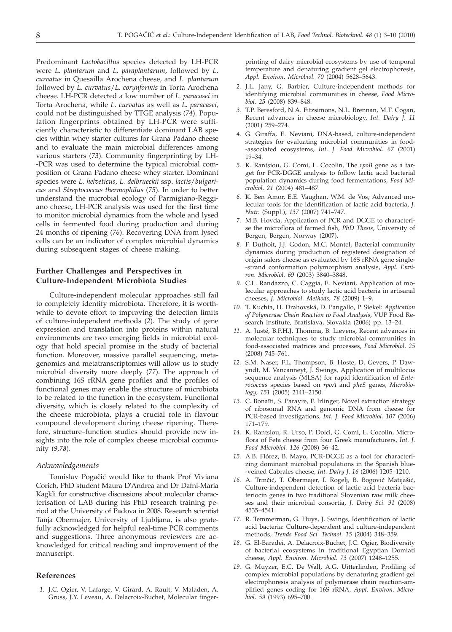Predominant *Lactobacillus* species detected by LH-PCR were *L. plantarum* and *L. paraplantarum*, followed by *L*. *curvatus* in Quesailla Arochena cheese, and *L. plantarum* followed by *L*. *curvatus*/*L. corynformis* in Torta Arochena cheese. LH-PCR detected a low number of *L. paracasei* in Torta Arochena, while *L*. *curvatus* as well as *L. paracasei,* could not be distinguished by TTGE analysis (*74*). Population fingerprints obtained by LH-PCR were sufficiently characteristic to differentiate dominant LAB species within whey starter cultures for Grana Padano cheese and to evaluate the main microbial differences among various starters (*73*). Community fingerprinting by LH- -PCR was used to determine the typical microbial composition of Grana Padano cheese whey starter. Dominant species were *L. helveticus*, *L. delbrueckii* ssp*. lactis*/*bulgaricus* and *Streptococcus thermophilus* (*75*). In order to better understand the microbial ecology of Parmigiano-Reggiano cheese, LH-PCR analysis was used for the first time to monitor microbial dynamics from the whole and lysed cells in fermented food during production and during 24 months of ripening (*76*). Recovering DNA from lysed cells can be an indicator of complex microbial dynamics during subsequent stages of cheese making.

# **Further Challenges and Perspectives in Culture-Independent Microbiota Studies**

Culture-independent molecular approaches still fail to completely identify microbiota. Therefore, it is worthwhile to devote effort to improving the detection limits of culture-independent methods (*2*). The study of gene expression and translation into proteins within natural environments are two emerging fields in microbial ecology that hold special promise in the study of bacterial function. Moreover, massive parallel sequencing, metagenomics and metatranscriptomics will allow us to study microbial diversity more deeply (*77*). The approach of combining 16S rRNA gene profiles and the profiles of functional genes may enable the structure of microbiota to be related to the function in the ecosystem. Functional diversity, which is closely related to the complexity of the cheese microbiota, plays a crucial role in flavour compound development during cheese ripening. Therefore, structure–function studies should provide new insights into the role of complex cheese microbial community (*9,78*).

# *Acknowledgements*

Tomislav Pogačić would like to thank Prof Viviana Corich, PhD student Maura D'Andrea and Dr Dafni-Maria Kagkli for constructive discussions about molecular characterisation of LAB during his PhD research training period at the University of Padova in 2008. Research scientist Tanja Obermajer, University of Ljubljana, is also gratefully acknowledged for helpful real-time PCR comments and suggestions. Three anonymous reviewers are acknowledged for critical reading and improvement of the manuscript.

# **References**

*1.* J.C. Ogier, V. Lafarge, V. Girard, A. Rault, V. Maladen, A. Gruss, J.Y. Leveau, A. Delacroix-Buchet, Molecular finger-

printing of dairy microbial ecosystems by use of temporal temperature and denaturing gradient gel electrophoresis, *Appl. Environ. Microbiol. 70* (2004) 5628–5643.

- *2.* J.L. Jany, G. Barbier, Culture-independent methods for identifying microbial communities in cheese, *Food Microbiol. 25* (2008) 839–848.
- *3.* T.P. Beresford, N.A. Fitzsimons, N.L. Brennan, M.T. Cogan, Recent advances in cheese microbiology, *Int. Dairy J. 11* (2001) 259–274.
- *4.* G. Giraffa, E. Neviani, DNA-based, culture-independent strategies for evaluating microbial communities in food- -associated ecosystems, *Int. J. Food Microbiol. 67* (2001) 19–34.
- *5.* K. Rantsiou, G. Comi, L. Cocolin, The *rpoB* gene as a target for PCR-DGGE analysis to follow lactic acid bacterial population dynamics during food fermentations, *Food Microbiol. 21* (2004) 481–487.
- *6.* K. Ben Amor, E.E. Vaughan, W.M. de Vos, Advanced molecular tools for the identification of lactic acid bacteria, *J. Nutr.* (Suppl.), *137* (2007) 741–747.
- *7.* M.B. Hovda, Application of PCR and DGGE to characterise the microflora of farmed fish, *PhD Thesis*, University of Bergen, Bergen, Norway (2007).
- *8.* F. Duthoit, J.J. Godon, M.C. Montel, Bacterial community dynamics during production of registered designation of origin salers cheese as evaluated by 16S rRNA gene single- -strand conformation polymorphism analysis, *Appl. Environ. Microbiol. 69* (2003) 3840–3848.
- *9.* C.L. Randazzo, C. Caggia, E. Neviani, Application of molecular approaches to study lactic acid bacteria in artisanal cheeses, *J. Microbiol. Methods, 78* (2009) 1–9.
- *10.* T. Kuchta, H. Drahovská, D. Pangallo, P. Siekel: *Application of Polymerase Chain Reaction to Food Analysis*, VUP Food Research Institute, Bratislava, Slovakia (2006) pp. 13–24.
- *11.* A. Justé, B.P.H.J. Thomma, B. Lievens, Recent advances in molecular techniques to study microbial communities in food-associated matrices and processes, *Food Microbiol*. *25* (2008) 745–761.
- *12.* S.M. Naser, F.L. Thompson, B. Hoste, D. Gevers, P. Dawyndt, M. Vancanneyt, J. Swings, Application of multilocus sequence analysis (MLSA) for rapid identification of *Enterococcus* species based on *rpoA* and *pheS* genes, *Microbiology, 151* (2005) 2141–2150.
- *13.* C. Bonaïti, S. Parayre, F. Irlinger, Novel extraction strategy of ribosomal RNA and genomic DNA from cheese for PCR-based investigations, *Int. J. Food Microbiol. 107* (2006) 171–179.
- *14.* K. Rantsiou, R. Urso, P. Dolci, G. Comi, L. Cocolin, Microflora of Feta cheese from four Greek manufacturers, *Int. J. Food Microbiol. 126* (2008) 36–42.
- *15.* A.B. Flórez, B. Mayo, PCR-DGGE as a tool for characterizing dominant microbial populations in the Spanish blue- -veined Cabrales cheese, *Int. Dairy J. 16* (2006) 1205–1210.
- 16. A. Trmčić, T. Obermajer, I. Rogelj, B. Bogovič Matijašić, Culture-independent detection of lactic acid bacteria bacteriocin genes in two traditional Slovenian raw milk cheeses and their microbial consortia, *J. Dairy Sci. 91* (2008) 4535–4541.
- *17.* R. Temmerman, G. Huys, J. Swings, Identification of lactic acid bacteria: Culture-dependent and culture-independent methods, *Trends Food Sci. Technol. 15* (2004) 348–359.
- *18.* G. El-Baradei, A. Delacroix-Buchet, J.C. Ogier, Biodiversity of bacterial ecosystems in traditional Egyptian Domiati cheese, *Appl. Environ. Microbiol. 73* (2007) 1248–1255.
- *19.* G. Muyzer, E.C. De Wall, A.G. Uitterlinden, Profiling of complex microbial populations by denaturing gradient gel electrophoresis analysis of polymerase chain reaction-amplified genes coding for 16S rRNA, *Appl. Environ. Microbiol. 59* (1993) 695–700.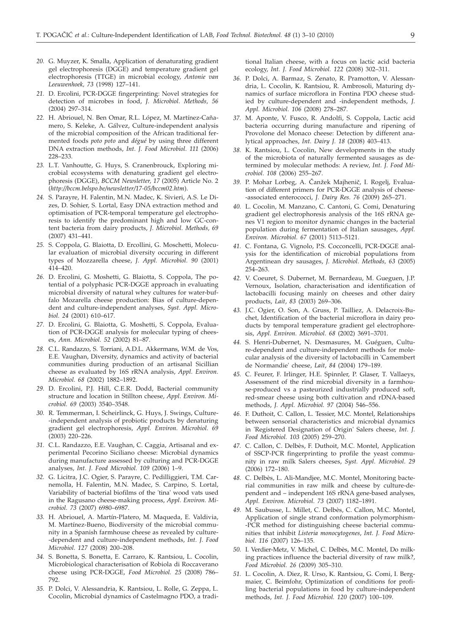- *20.* G. Muyzer, K. Smalla, Application of denaturating gradient gel electrophoresis (DGGE) and temperature gradient gel electrophoresis (TTGE) in microbial ecology, *Antonie van Leeuwenhoek, 73* (1998) 127–141.
- *21.* D. Ercolini, PCR-DGGE fingerprinting: Novel strategies for detection of microbes in food, *J. Microbiol. Methods, 56* (2004) 297–314.
- *22.* H. Abriouel, N. Ben Omar, R.L. López, M. Martínez-Cañamero, S. Keleke, A. Gálvez, Culture-independent analysis of the microbial composition of the African traditional fermented foods *poto poto* and *dégué* by using three different DNA extraction methods, *Int. J. Food Microbiol. 111* (2006) 228–233.
- *23.* L.T. Vanhoutte, G. Huys, S. Cranenbrouck, Exploring microbial ecosystems with denaturing gradient gel electrophoresis (DGGE), *BCCM Newsletter, 17* (2005) Article No. 2 (*http://bccm.belspo.be/newsletter/17-05/bccm02.htm*).
- *24.* S. Parayre, H. Falentin, M.N. Madec, K. Sivieri, A.S. Le Dizes, D. Sohier, S. Lortal, Easy DNA extraction method and optimisation of PCR-temporal temperature gel electrophoresis to identify the predominant high and low GC-content bacteria from dairy products, *J. Microbiol. Methods, 69* (2007) 431–441.
- *25.* S. Coppola, G. Blaiotta, D. Ercollini, G. Moschetti, Molecular evaluation of microbial diversity occuring in different types of Mozzarella cheese, *J. Appl. Microbiol. 90* (2001) 414–420.
- *26.* D. Ercolini, G. Moshetti, G. Blaiotta, S. Coppola, The potential of a polyphasic PCR-DGGE approach in evaluating microbial diversity of natural whey cultures for water-buffalo Mozarella cheese production: Bias of culture-dependent and culture-independent analyses, *Syst. Appl. Microbiol. 24* (2001) 610–617.
- *27.* D. Ercolini, G. Blaiotta, G. Moshetti, S. Coppola, Evaluation of PCR-DGGE analysis for molecular typing of cheeses, *Ann. Microbiol. 52* (2002) 81–87.
- *28.* C.L. Randazzo, S. Torriani, A.D.L. Akkermans, W.M. de Vos, E.E. Vaughan, Diversity, dynamics and activity of bacterial communities during production of an artisanal Sicillian cheese as evaluated by 16S rRNA analysis, *Appl. Environ. Microbiol. 68* (2002) 1882–1892.
- *29.* D. Ercolini, P.J. Hill, C.E.R. Dodd, Bacterial community structure and location in Stillton cheese, *Appl. Environ. Microbiol. 69* (2003) 3540–3548.
- *30.* R. Temmerman, I. Scheirlinck, G. Huys, J. Swings, Culture- -independent analysis of probiotic products by denaturing gradient gel electrophoresis, *Appl. Environ. Microbiol. 69* (2003) 220–226.
- *31.* C.L. Randazzo, E.E. Vaughan, C. Caggia, Artisanal and experimental Pecorino Siciliano cheese: Microbial dynamics during manufacture assessed by culturing and PCR-DGGE analyses, *Int. J. Food Microbiol. 109* (2006) 1–9.
- *32.* G. Licitra, J.C. Ogier, S. Parayre, C. Pedilliggieri, T.M. Carnemolla, H. Falentin, M.N. Madec, S. Carpino, S. Lortal, Variability of bacterial biofilms of the 'tina' wood vats used in the Ragusano cheese-making process, *Appl. Environ. Microbiol. 73* (2007) 6980–6987.
- *33.* H. Abriouel, A. Martín-Platero, M. Maqueda, E. Valdivia, M. Martínez-Bueno, Biodiversity of the microbial community in a Spanish farmhouse cheese as revealed by culture- -dependent and culture-independent methods, *Int. J. Food Microbiol. 127* (2008) 200–208.
- *34.* S. Bonetta, S. Bonetta, E. Carraro, K. Rantsiou, L. Cocolin, Microbiological characterisation of Robiola di Roccaverano cheese using PCR-DGGE, *Food Microbiol. 25* (2008) 786– 792.
- *35.* P. Dolci, V. Alessandria, K. Rantsiou, L. Rolle, G. Zeppa, L. Cocolin, Microbial dynamics of Castelmagno PDO, a tradi-

tional Italian cheese, with a focus on lactic acid bacteria ecology, *Int. J. Food Microbiol. 122* (2008) 302–311.

- *36.* P. Dolci, A. Barmaz, S. Zenato, R. Pramotton, V. Alessandria, L. Cocolin, K. Rantsiou, R. Ambrosoli, Maturing dynamics of surface microflora in Fontina PDO cheese studied by culture-dependent and -independent methods, *J. Appl. Microbiol. 106* (2008) 278–287.
- *37.* M. Aponte, V. Fusco, R. Andolfi, S. Coppola, Lactic acid bacteria occurring during manufacture and ripening of Provolone del Monaco cheese: Detection by different analytical approaches, *Int. Dairy J. 18* (2008) 403–413.
- *38.* K. Rantsiou, L. Cocolin, New developments in the study of the microbiota of naturally fermented sausages as determined by molecular methods: A review, *Int. J. Food Microbiol. 108* (2006) 255–267.
- 39. P. Mohar Lorbeg, A. Čanžek Majhenič, I. Rogelj, Evaluation of different primers for PCR-DGGE analysis of cheese- -associated enterococci, *J. Dairy Res. 76* (2009) 265–271.
- *40.* L. Cocolin, M. Manzano, C. Cantoni, G. Comi, Denaturing gradient gel electrophoresis analysis of the 16S rRNA genes V1 region to monitor dynamic changes in the bacterial population during fermentation of Italian sausages, *Appl. Environ. Microbiol. 67* (2001) 5113–5121.
- *41.* C. Fontana, G. Vignolo, P.S. Cocconcelli, PCR-DGGE analysis for the identification of microbial populations from Argentinean dry sausages, *J. Microbiol. Methods, 63* (2005) 254–263.
- *42.* V. Coeuret, S. Dubernet, M. Bernardeau, M. Gueguen, J.P. Vernoux, Isolation, characterisation and identification of lactobacilli focusing mainly on cheeses and other dairy products, *Lait*, *83* (2003) 269–306.
- *43.* J.C. Ogier, O. Son, A. Gruss, P. Tailliez, A. Delacroix-Buchet, Identification of the bacterial microflora in dairy products by temporal temperature gradient gel electrophoresis, *Appl. Environ. Microbiol. 68* (2002) 3691–3701.
- *44.* S. Henri-Dubernet, N. Desmasures, M. Guéguen, Culture-dependent and culture-independent methods for molecular analysis of the diversity of lactobacilli in 'Camembert de Normandie' cheese, *Lait*, *84* (2004) 179–189.
- *45.* C. Feurer, F. Irlinger, H.E. Spinnler, P. Glaser, T. Vallaeys, Assessment of the rind microbial diversity in a farmhouse-produced vs a pasteurized industrially produced soft, red-smear cheese using both cultivation and rDNA-based methods, *J. Appl. Microbiol. 97* (2004) 546–556.
- *46.* F. Duthoit, C. Callon, L. Tessier, M.C. Montel, Relationships between sensorial characteristics and microbial dynamics in 'Registered Designation of Origin' Salers cheese, *Int. J. Food Microbiol. 103* (2005) 259–270.
- *47.* C. Callon, C. Delbès, F. Duthoit, M.C. Montel, Application of SSCP-PCR fingerprinting to profile the yeast community in raw milk Salers cheeses, *Syst. Appl. Microbiol*. *29* (2006) 172–180.
- *48.* C. Delbès, L. Ali-Mandjee, M.C. Montel, Monitoring bacterial communities in raw milk and cheese by culture-dependent and – independent 16S rRNA gene-based analyses, *Appl. Environ. Microbiol. 73* (2007) 1182–1891.
- *49.* M. Saubusse, L. Millet, C. Delbès, C. Callon, M.C. Montel, Application of single strand conformation polymorphism- -PCR method for distinguishing cheese bacterial communities that inhibit *Listeria monocytogenes*, *Int. J. Food Microbiol. 116* (2007) 126–135.
- *50.* I. Verdier-Metz, V. Michel, C. Delbès, M.C. Montel, Do milking practices influence the bacterial diversity of raw milk?, *Food Microbiol. 26* (2009) 305–310.
- *51.* L. Cocolin, A. Diez, R. Urso, K. Rantsiou, G. Comi, I. Bergmaier, C. Beimfohr, Optimization of conditions for profiling bacterial populations in food by culture-independent methods, *Int. J. Food Microbiol. 120* (2007) 100–109.